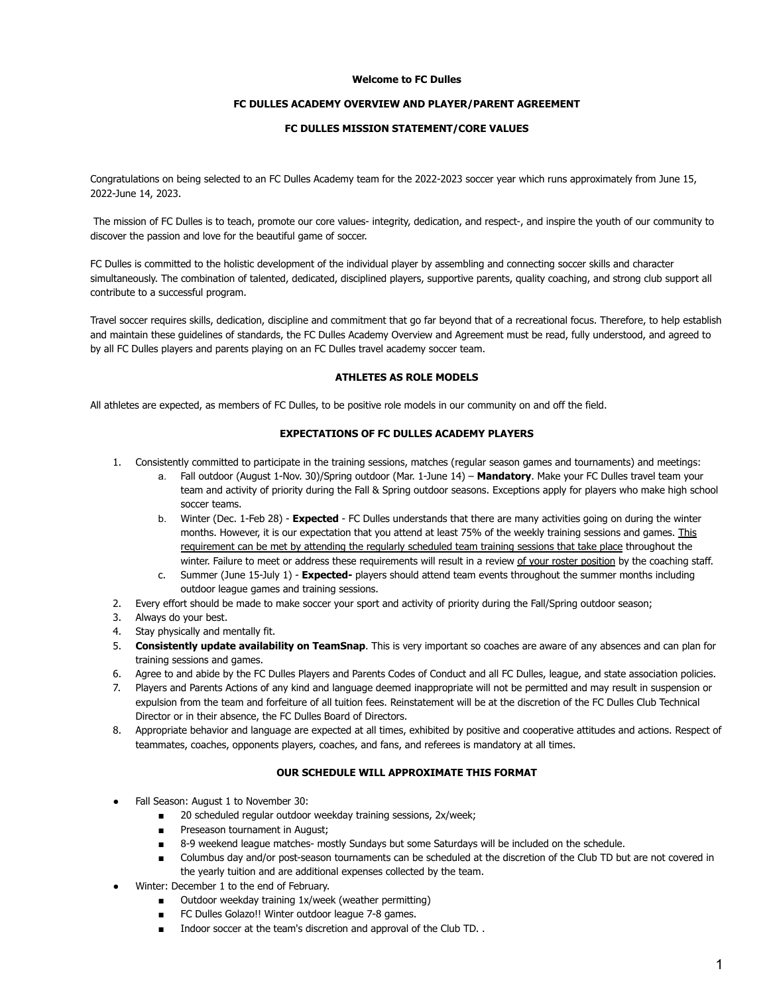### **Welcome to FC Dulles**

# **FC DULLES ACADEMY OVERVIEW AND PLAYER/PARENT AGREEMENT**

# **FC DULLES MISSION STATEMENT/CORE VALUES**

Congratulations on being selected to an FC Dulles Academy team for the 2022-2023 soccer year which runs approximately from June 15, 2022-June 14, 2023.

The mission of FC Dulles is to teach, promote our core values- integrity, dedication, and respect-, and inspire the youth of our community to discover the passion and love for the beautiful game of soccer.

FC Dulles is committed to the holistic development of the individual player by assembling and connecting soccer skills and character simultaneously. The combination of talented, dedicated, disciplined players, supportive parents, quality coaching, and strong club support all contribute to a successful program.

Travel soccer requires skills, dedication, discipline and commitment that go far beyond that of a recreational focus. Therefore, to help establish and maintain these guidelines of standards, the FC Dulles Academy Overview and Agreement must be read, fully understood, and agreed to by all FC Dulles players and parents playing on an FC Dulles travel academy soccer team.

# **ATHLETES AS ROLE MODELS**

All athletes are expected, as members of FC Dulles, to be positive role models in our community on and off the field.

# **EXPECTATIONS OF FC DULLES ACADEMY PLAYERS**

- 1. Consistently committed to participate in the training sessions, matches (regular season games and tournaments) and meetings:
	- a. Fall outdoor (August 1-Nov. 30)/Spring outdoor (Mar. 1-June 14) **Mandatory**. Make your FC Dulles travel team your team and activity of priority during the Fall & Spring outdoor seasons. Exceptions apply for players who make high school soccer teams.
	- b. Winter (Dec. 1-Feb 28) **Expected** FC Dulles understands that there are many activities going on during the winter months. However, it is our expectation that you attend at least 75% of the weekly training sessions and games. This requirement can be met by attending the regularly scheduled team training sessions that take place throughout the winter. Failure to meet or address these requirements will result in a review of your roster position by the coaching staff.
	- c. Summer (June 15-July 1) **Expected-** players should attend team events throughout the summer months including outdoor league games and training sessions.
- 2. Every effort should be made to make soccer your sport and activity of priority during the Fall/Spring outdoor season;
- 3. Always do your best.
- 4. Stay physically and mentally fit.
- 5. **Consistently update availability on TeamSnap**. This is very important so coaches are aware of any absences and can plan for training sessions and games.
- 6. Agree to and abide by the FC Dulles Players and Parents Codes of Conduct and all FC Dulles, league, and state association policies.
- 7. Players and Parents Actions of any kind and language deemed inappropriate will not be permitted and may result in suspension or expulsion from the team and forfeiture of all tuition fees. Reinstatement will be at the discretion of the FC Dulles Club Technical Director or in their absence, the FC Dulles Board of Directors.
- 8. Appropriate behavior and language are expected at all times, exhibited by positive and cooperative attitudes and actions. Respect of teammates, coaches, opponents players, coaches, and fans, and referees is mandatory at all times.

# **OUR SCHEDULE WILL APPROXIMATE THIS FORMAT**

- Fall Season: August 1 to November 30:
	- 20 scheduled regular outdoor weekday training sessions, 2x/week;
	- Preseason tournament in August;
	- 8-9 weekend league matches- mostly Sundays but some Saturdays will be included on the schedule.
	- Columbus day and/or post-season tournaments can be scheduled at the discretion of the Club TD but are not covered in the yearly tuition and are additional expenses collected by the team.
- Winter: December 1 to the end of February.
	- Outdoor weekday training 1x/week (weather permitting)
	- FC Dulles Golazo!! Winter outdoor league 7-8 games.
	- Indoor soccer at the team's discretion and approval of the Club TD. .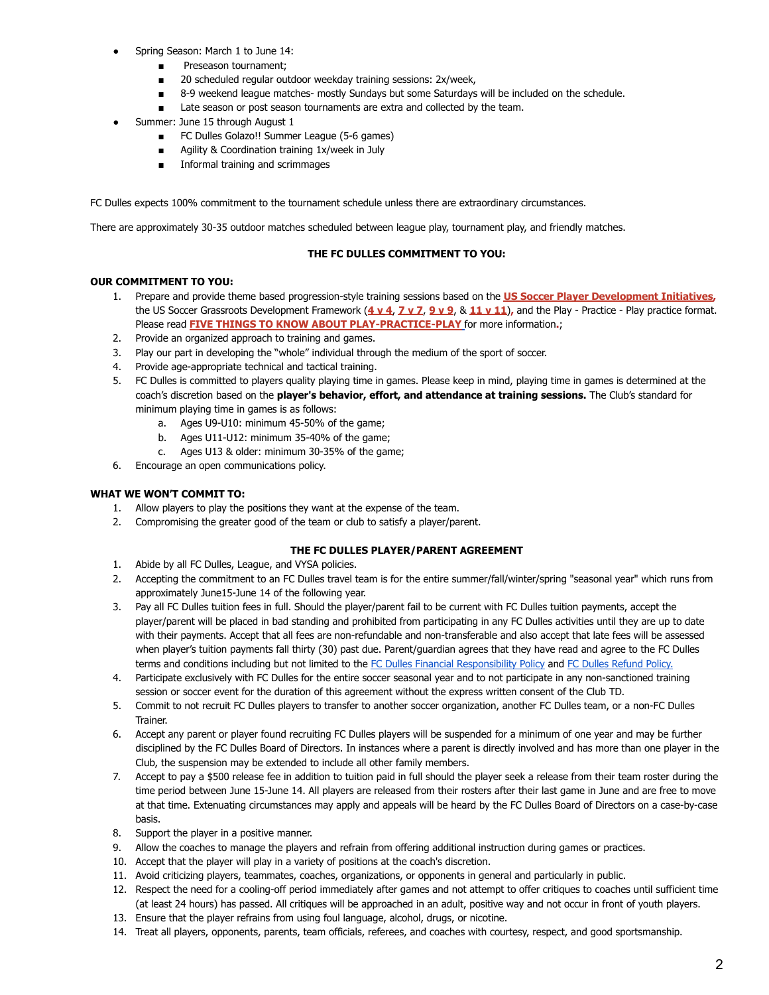- Spring Season: March 1 to June 14:
	- Preseason tournament;
	- 20 scheduled regular outdoor weekday training sessions: 2x/week,
	- 8-9 weekend league matches- mostly Sundays but some Saturdays will be included on the schedule.
	- Late season or post season tournaments are extra and collected by the team.
- Summer: June 15 through August 1
	- FC Dulles Golazo!! Summer League (5-6 games)
	- Agility & Coordination training 1x/week in July
	- Informal training and scrimmages

FC Dulles expects 100% commitment to the tournament schedule unless there are extraordinary circumstances.

There are approximately 30-35 outdoor matches scheduled between league play, tournament play, and friendly matches.

### **THE FC DULLES COMMITMENT TO YOU:**

### **OUR COMMITMENT TO YOU:**

- 1. Prepare and provide theme based progression-style training sessions based on the **US Soccer Player [Development](https://fcdulles.demosphere-secure.com/_files/20171018%20ENG%20October%202017%20PDI%2Ccompressed.pdf) Initiatives,** the US Soccer Grassroots Development Framework (**[4](https://fcdulles.demosphere-secure.com/_files/about-us/the-fcd-way-core-programs/4%20v%204%20%20Framework_20210512_0001%20(1).pdf) v 4**, **[7](https://fcdulles.demosphere-secure.com/_files/about-us/the-fcd-way-core-programs/us-soccer-grassroots-7v7-player-development-framework.pdf) v 7**, **[9](https://fcdulles.demosphere-secure.com/_files/about-us/the-fcd-way-core-programs/9%20v%209%20%20Framework_20210512_0001.pdf) v 9**, & **[11](https://fcdulles.demosphere-secure.com/_files/about-us/the-fcd-way-core-programs/us-soccer-grassroots-11v11-player-development-framework.pdf) v 11**)**,** and the Play - Practice - Play practice format. Please read **FIVE THINGS TO KNOW ABOUT [PLAY-PRACTICE-PLAY](https://www.ussoccer.com/stories/2018/02/five-things-to-know-about-playpracticeplay)** for more information**.**;
- 2. Provide an organized approach to training and games.
- 3. Play our part in developing the "whole" individual through the medium of the sport of soccer.
- 4. Provide age-appropriate technical and tactical training.
- 5. FC Dulles is committed to players quality playing time in games. Please keep in mind, playing time in games is determined at the coach's discretion based on the **player's behavior, effort, and attendance at training sessions.** The Club's standard for minimum playing time in games is as follows:
	- a. Ages U9-U10: minimum 45-50% of the game;
	- b. Ages U11-U12: minimum 35-40% of the game;
	- c. Ages U13 & older: minimum 30-35% of the game;
- 6. Encourage an open communications policy.

### **WHAT WE WON'T COMMIT TO:**

- 1. Allow players to play the positions they want at the expense of the team.
- 2. Compromising the greater good of the team or club to satisfy a player/parent.

### **THE FC DULLES PLAYER/PARENT AGREEMENT**

- 1. Abide by all FC Dulles, League, and VYSA policies.
- 2. Accepting the commitment to an FC Dulles travel team is for the entire summer/fall/winter/spring "seasonal year" which runs from approximately June15-June 14 of the following year.
- 3. Pay all FC Dulles tuition fees in full. Should the player/parent fail to be current with FC Dulles tuition payments, accept the player/parent will be placed in bad standing and prohibited from participating in any FC Dulles activities until they are up to date with their payments. Accept that all fees are non-refundable and non-transferable and also accept that late fees will be assessed when player's tuition payments fall thirty (30) past due. Parent/guardian agrees that they have read and agree to the FC Dulles terms and conditions including but not limited to the FC Dulles Financial [Responsibility](https://fcdulles.demosphere-secure.com/_files/important-links/documents/policies/FC%20Dulles%20Financial%20Responsibility%20Policy%20Rev%2C%2003_13_22%20(1).pdf) Policy and FC Dulles [Refund](https://fcdulles.demosphere-secure.com/_files/important-links/documents/refund-policy/Refund%20Policy%203_13_22.pdf) Policy.
- 4. Participate exclusively with FC Dulles for the entire soccer seasonal year and to not participate in any non-sanctioned training session or soccer event for the duration of this agreement without the express written consent of the Club TD.
- 5. Commit to not recruit FC Dulles players to transfer to another soccer organization, another FC Dulles team, or a non-FC Dulles Trainer.
- 6. Accept any parent or player found recruiting FC Dulles players will be suspended for a minimum of one year and may be further disciplined by the FC Dulles Board of Directors. In instances where a parent is directly involved and has more than one player in the Club, the suspension may be extended to include all other family members.
- 7. Accept to pay a \$500 release fee in addition to tuition paid in full should the player seek a release from their team roster during the time period between June 15-June 14. All players are released from their rosters after their last game in June and are free to move at that time. Extenuating circumstances may apply and appeals will be heard by the FC Dulles Board of Directors on a case-by-case basis.
- 8. Support the player in a positive manner.
- 9. Allow the coaches to manage the players and refrain from offering additional instruction during games or practices.
- 10. Accept that the player will play in a variety of positions at the coach's discretion.
- 11. Avoid criticizing players, teammates, coaches, organizations, or opponents in general and particularly in public.
- 12. Respect the need for a cooling-off period immediately after games and not attempt to offer critiques to coaches until sufficient time (at least 24 hours) has passed. All critiques will be approached in an adult, positive way and not occur in front of youth players.
- 13. Ensure that the player refrains from using foul language, alcohol, drugs, or nicotine.
- 14. Treat all players, opponents, parents, team officials, referees, and coaches with courtesy, respect, and good sportsmanship.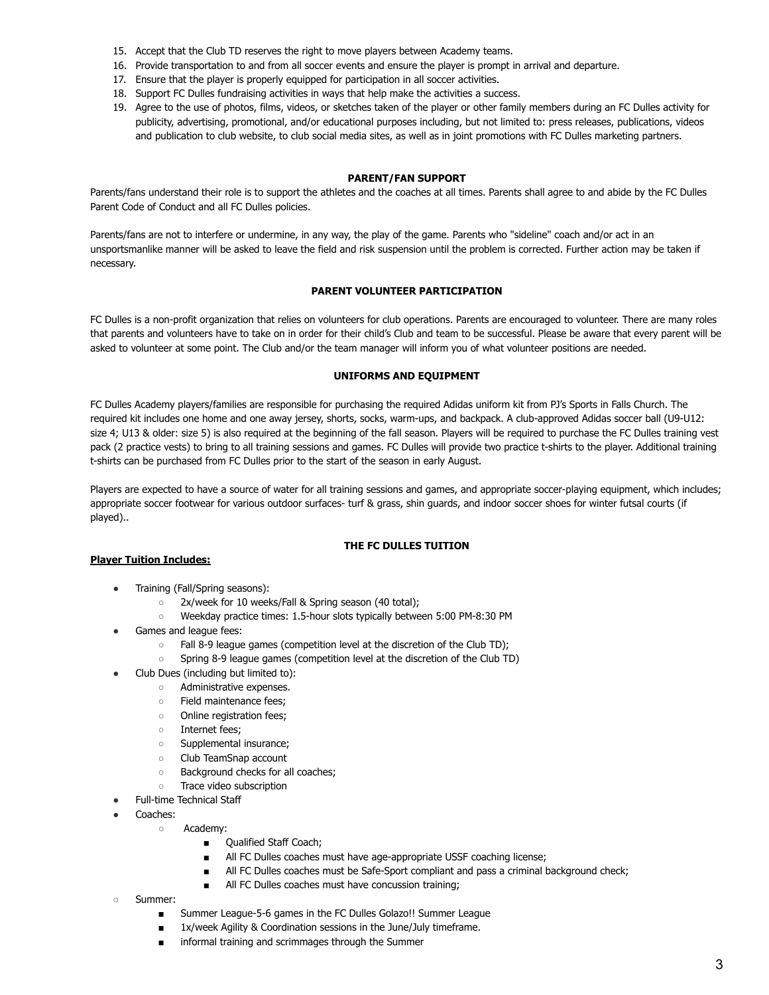- 15. Accept that the Club TD reserves the right to move players between Academy teams.
- 16. Provide transportation to and from all soccer events and ensure the player is prompt in arrival and departure.
- 17. Ensure that the player is properly equipped for participation in all soccer activities.
- 18. Support FC Dulles fundraising activities in ways that help make the activities a success.
- 19. Agree to the use of photos, films, videos, or sketches taken of the player or other family members during an FC Dulles activity for publicity, advertising, promotional, and/or educational purposes including, but not limited to: press releases, publications, videos and publication to club website, to club social media sites, as well as in joint promotions with FC Dulles marketing partners.

### **PARENT/FAN SUPPORT**

Parents/fans understand their role is to support the athletes and the coaches at all times. Parents shall agree to and abide by the FC Dulles Parent Code of Conduct and all FC Dulles policies.

Parents/fans are not to interfere or undermine, in any way, the play of the game. Parents who "sideline" coach and/or act in an unsportsmanlike manner will be asked to leave the field and risk suspension until the problem is corrected. Further action may be taken if necessary.

# **PARENT VOLUNTEER PARTICIPATION**

FC Dulles is a non-profit organization that relies on volunteers for club operations. Parents are encouraged to volunteer. There are many roles that parents and volunteers have to take on in order for their child's Club and team to be successful. Please be aware that every parent will be asked to volunteer at some point. The Club and/or the team manager will inform you of what volunteer positions are needed.

# **UNIFORMS AND EQUIPMENT**

FC Dulles Academy players/families are responsible for purchasing the required Adidas uniform kit from PJ's Sports in Falls Church. The required kit includes one home and one away jersey, shorts, socks, warm-ups, and backpack. A club-approved Adidas soccer ball (U9-U12: size 4; U13 & older: size 5) is also required at the beginning of the fall season. Players will be required to purchase the FC Dulles training vest pack (2 practice vests) to bring to all training sessions and games. FC Dulles will provide two practice t-shirts to the player. Additional training t-shirts can be purchased from FC Dulles prior to the start of the season in early August.

Players are expected to have a source of water for all training sessions and games, and appropriate soccer-playing equipment, which includes; appropriate soccer footwear for various outdoor surfaces- turf & grass, shin guards, and indoor soccer shoes for winter futsal courts (if played)..

# **THE FC DULLES TUITION**

# **Player Tuition Includes:**

- Training (Fall/Spring seasons):
	- 2x/week for 10 weeks/Fall & Spring season (40 total);
	- Weekday practice times: 1.5-hour slots typically between 5:00 PM-8:30 PM
- Games and league fees:
	- Fall 8-9 league games (competition level at the discretion of the Club TD);
	- Spring 8-9 league games (competition level at the discretion of the Club TD)
- Club Dues (including but limited to):
	- Administrative expenses.
	- Field maintenance fees;
	- Online registration fees;
	- Internet fees;
	- Supplemental insurance;
	- Club TeamSnap account
	- Background checks for all coaches;
	- Trace video subscription
	- Full-time Technical Staff
- Coaches:
	- Academy:
		- Qualified Staff Coach;
		- All FC Dulles coaches must have age-appropriate USSF coaching license;
		- All FC Dulles coaches must be Safe-Sport compliant and pass a criminal background check;
		- All FC Dulles coaches must have concussion training;
- Summer:
	- Summer League-5-6 games in the FC Dulles Golazo!! Summer League
	- 1x/week Agility & Coordination sessions in the June/July timeframe.
	- informal training and scrimmages through the Summer